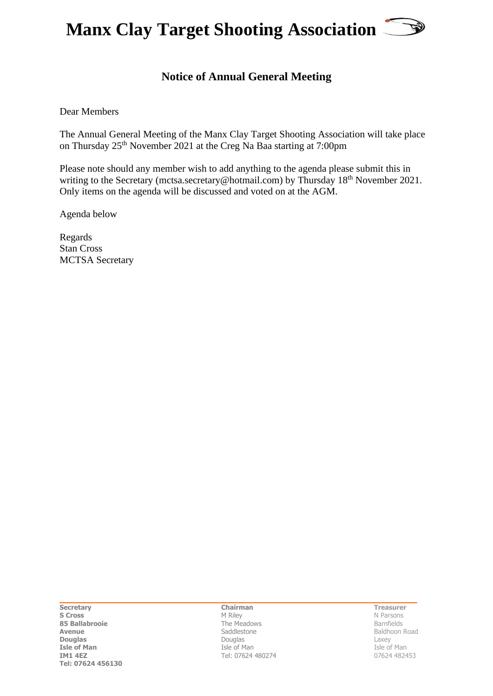

## **Notice of Annual General Meeting**

Dear Members

The Annual General Meeting of the Manx Clay Target Shooting Association will take place on Thursday 25<sup>th</sup> November 2021 at the Creg Na Baa starting at 7:00pm

Please note should any member wish to add anything to the agenda please submit this in writing to the Secretary (mctsa.secretary@hotmail.com) by Thursday 18<sup>th</sup> November 2021. Only items on the agenda will be discussed and voted on at the AGM.

Agenda below

Regards Stan Cross MCTSA Secretary

**Secretary S Cross 85 Ballabrooie Avenue Douglas Isle of Man IM1 4EZ Tel: 07624 456130**

 **Chairman**

M Riley The Meadows Saddlestone Douglas Isle of Man Tel: 07624 480274

**Treasurer** N Parsons

Barnfields Baldhoon Road Laxey Isle of Man 07624 482453